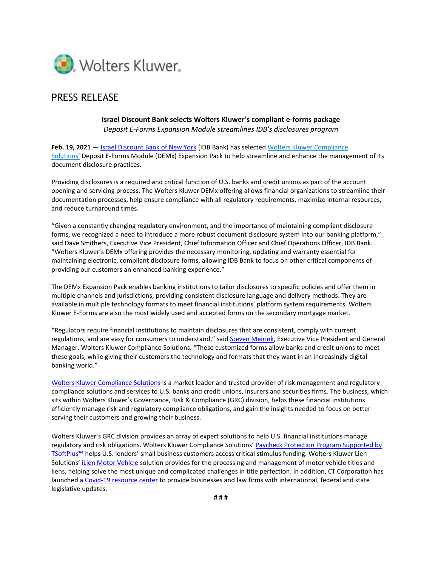

# PRESS RELEASE

# **Israel Discount Bank selects Wolters Kluwer's compliant e-forms package** *Deposit E-Forms Expansion Module streamlines IDB's disclosures program*

Feb. 19, 2021 - [Israel Discount Bank](https://www.idbbank.com/) of New York (IDB Bank) has selected Wolters Kluwer [Compliance](https://www.wolterskluwer.com/en/solutions/banking-finance-risk-reporting-compliance?utm_medium=press-release&utm_source=businesswire&&utm_campaign=grc_cs_multiple-solutions_press-release-read_IsraelDiscountBank_21.02&wkcid=21.02_AM_cs_EN_PR_IsraelDiscountBank) [Solutions'](https://www.wolterskluwer.com/en/solutions/banking-finance-risk-reporting-compliance?utm_medium=press-release&utm_source=businesswire&&utm_campaign=grc_cs_multiple-solutions_press-release-read_IsraelDiscountBank_21.02&wkcid=21.02_AM_cs_EN_PR_IsraelDiscountBank) Deposit E-Forms Module (DEMx) Expansion Pack to help streamline and enhance the management of its document disclosure practices.

Providing disclosures is a required and critical function of U.S. banks and credit unions as part of the account opening and servicing process. The Wolters Kluwer DEMx offering allows financial organizations to streamline their documentation processes, help ensure compliance with all regulatory requirements, maximize internal resources, and reduce turnaround times.

"Given a constantly changing regulatory environment, and the importance of maintaining compliant disclosure forms, we recognized a need to introduce a more robust document disclosure system into our banking platform," said Dave Smithers, Executive Vice President, Chief Information Officer and Chief Operations Officer, IDB Bank. "Wolters Kluwer's DEMx offering provides the necessary monitoring, updating and warranty essential for maintaining electronic, compliant disclosure forms, allowing IDB Bank to focus on other critical components of providing our customers an enhanced banking experience."

The DEMx Expansion Pack enables banking institutions to tailor disclosures to specific policies and offer them in multiple channels and jurisdictions, providing consistent disclosure language and delivery methods. They are available in multiple technology formats to meet financial institutions' platform system requirements. Wolters Kluwer E-Forms are also the most widely used and accepted forms on the secondary mortgage market.

"Regulators require financial institutions to maintain disclosures that are consistent, comply with current regulations, and are easy for consumers to understand," sai[d Steven Meirink,](https://www.wolterskluwer.com/en/experts/steven-meirink?utm_medium=press-release&utm_source=businesswire&utm_campaign=grc_cs_multiple-solutions_biography-read_IsraelDiscountBank_21.02&wkcid=21.02_AM_cs_EN_PR_IsraelDiscountBank) Executive Vice President and General Manager, Wolters Kluwer Compliance Solutions. "These customized forms allow banks and credit unions to meet these goals, while giving their customers the technology and formats that they want in an increasingly digital banking world."

[Wolters Kluwer Compliance Solutions](https://www.wolterskluwer.com/en/solutions/banking-finance-risk-reporting-compliance?utm_medium=press-release&utm_source=businesswire&utm_campaign=grc_cs_multiple-solutions_cta-click_IsraelDiscountBank_21.02&wkcid=21.02_AM_cs_EN_PR_IsraelDiscountBank) is a market leader and trusted provider of risk management and regulatory compliance solutions and services to U.S. banks and credit unions, insurers and securities firms. The business, which sits within Wolters Kluwer's Governance, Risk & Compliance (GRC) division, helps these financial institutions efficiently manage risk and regulatory compliance obligations, and gain the insights needed to focus on better serving their customers and growing their business.

Wolters Kluwer's GRC division provides an array of expert solutions to help U.S. financial institutions manage regulatory and risk obligations. Wolters Kluwer Compliance Solutions' [Paycheck Protection Program Supported by](https://www.wolterskluwer.com/en/solutions/tsoftplus/sba-tsoftplus?utm_medium=press-release&utm_source=businesswire&utm_campaign=grc_cs_multiple-solutions_solution-read_IsraelDiscountBank_21.02&wkcid=21.02_AM_cs_EN_PR_IsraelDiscountBank)  [TSoftPlus™](https://www.wolterskluwer.com/en/solutions/tsoftplus/sba-tsoftplus?utm_medium=press-release&utm_source=businesswire&utm_campaign=grc_cs_multiple-solutions_solution-read_IsraelDiscountBank_21.02&wkcid=21.02_AM_cs_EN_PR_IsraelDiscountBank) helps U.S. lenders' small business customers access critical stimulus funding. Wolters Kluwer Lien Solutions' *iLien Motor Vehicle solution provides for the processing and management of motor vehicle titles and* liens, helping solve the most unique and complicated challenges in title perfection. In addition, CT Corporation has launched [a Covid-19 resource center](https://www.wolterskluwer.com/en/solutions/ct-corporation/covid-19-status) to provide businesses and law firms with international, federal and state legislative updates.